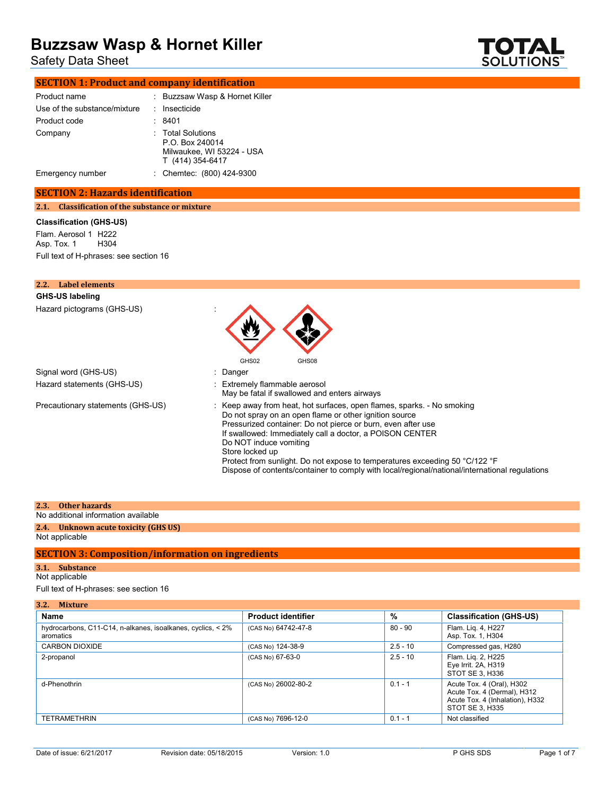Safety Data Sheet



# **SECTION 1: Product and company identification**

| Product name                 | : Buzzsaw Wasp & Hornet Killer                                                        |
|------------------------------|---------------------------------------------------------------------------------------|
| Use of the substance/mixture | Insecticide                                                                           |
| Product code                 | 8401                                                                                  |
| Company                      | : Total Solutions<br>P.O. Box 240014<br>Milwaukee, WI 53224 - USA<br>T (414) 354-6417 |
| Emergency number             | : Chemtec: (800) 424-9300                                                             |

#### **SECTION 2: Hazards identification**

**2.1. Classification of the substance or mixture**

#### **Classification (GHS-US)**

Flam. Aerosol 1 H222<br>Asp. Tox. 1 H304 Asp. Tox. 1 Full text of H-phrases: see section 16

| 2.2.<br><b>Label elements</b>     |                                                                                                                                                                                                                                                                                                                                                                                                                                                                                            |
|-----------------------------------|--------------------------------------------------------------------------------------------------------------------------------------------------------------------------------------------------------------------------------------------------------------------------------------------------------------------------------------------------------------------------------------------------------------------------------------------------------------------------------------------|
| <b>GHS-US labeling</b>            |                                                                                                                                                                                                                                                                                                                                                                                                                                                                                            |
| Hazard pictograms (GHS-US)        | GHS02<br>GHS08                                                                                                                                                                                                                                                                                                                                                                                                                                                                             |
| Signal word (GHS-US)              | : Danger                                                                                                                                                                                                                                                                                                                                                                                                                                                                                   |
| Hazard statements (GHS-US)        | : Extremely flammable aerosol<br>May be fatal if swallowed and enters airways                                                                                                                                                                                                                                                                                                                                                                                                              |
| Precautionary statements (GHS-US) | : Keep away from heat, hot surfaces, open flames, sparks. - No smoking<br>Do not spray on an open flame or other ignition source<br>Pressurized container: Do not pierce or burn, even after use<br>If swallowed: Immediately call a doctor, a POISON CENTER<br>Do NOT induce vomiting<br>Store locked up<br>Protect from sunlight. Do not expose to temperatures exceeding 50 °C/122 °F<br>Dispose of contents/container to comply with local/regional/national/international regulations |

#### **2.3. Other hazards**

## No additional information available

#### **2.4. Unknown acute toxicity (GHS US)** Not applicable

#### **SECTION 3: Composition/information on ingredients**

## **3.1. Substance**

Not applicable

Full text of H-phrases: see section 16

| 3.2.<br>Mixture                                                          |                           |            |                                                                                                                |  |
|--------------------------------------------------------------------------|---------------------------|------------|----------------------------------------------------------------------------------------------------------------|--|
| Name                                                                     | <b>Product identifier</b> | %          | <b>Classification (GHS-US)</b>                                                                                 |  |
| hydrocarbons, C11-C14, n-alkanes, isoalkanes, cyclics, < 2%<br>aromatics | (CAS No) 64742-47-8       | $80 - 90$  | Flam. Lig. 4, H227<br>Asp. Tox. 1, H304                                                                        |  |
| <b>CARBON DIOXIDE</b>                                                    | (CAS No) 124-38-9         | $2.5 - 10$ | Compressed gas, H280                                                                                           |  |
| 2-propanol                                                               | (CAS No) 67-63-0          | $2.5 - 10$ | Flam. Lig. 2, H225<br>Eye Irrit. 2A, H319<br>STOT SE 3, H336                                                   |  |
| d-Phenothrin                                                             | (CAS No) 26002-80-2       | $0.1 - 1$  | Acute Tox. 4 (Oral), H302<br>Acute Tox. 4 (Dermal), H312<br>Acute Tox. 4 (Inhalation), H332<br>STOT SE 3, H335 |  |
| <b>TETRAMETHRIN</b>                                                      | (CAS No) 7696-12-0        | $0.1 - 1$  | Not classified                                                                                                 |  |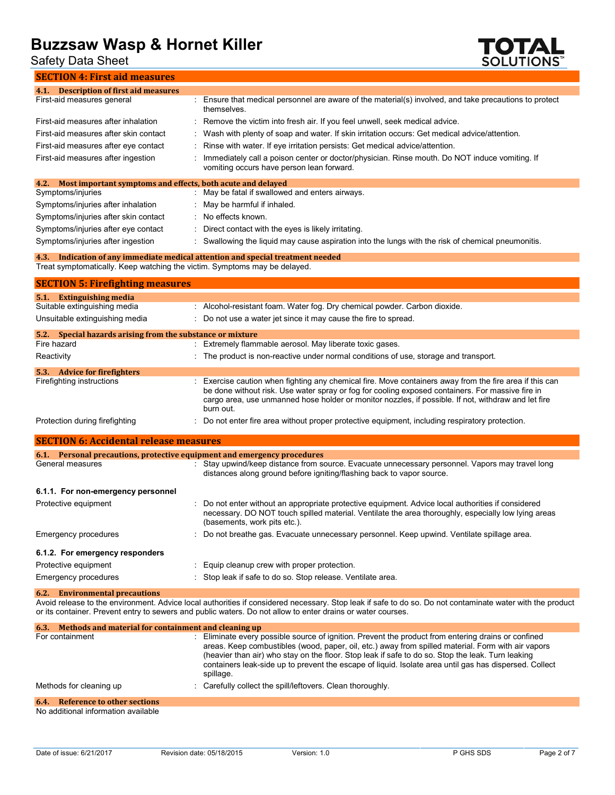Safety Data Sheet



| <b>SECTION 4: First aid measures</b>                                                     |                                                                                                                                                                                                                                                                                                                                                                                                                                       |
|------------------------------------------------------------------------------------------|---------------------------------------------------------------------------------------------------------------------------------------------------------------------------------------------------------------------------------------------------------------------------------------------------------------------------------------------------------------------------------------------------------------------------------------|
| 4.1. Description of first aid measures                                                   |                                                                                                                                                                                                                                                                                                                                                                                                                                       |
| First-aid measures general                                                               | : Ensure that medical personnel are aware of the material(s) involved, and take precautions to protect<br>themselves.                                                                                                                                                                                                                                                                                                                 |
| First-aid measures after inhalation                                                      | Remove the victim into fresh air. If you feel unwell, seek medical advice.                                                                                                                                                                                                                                                                                                                                                            |
| First-aid measures after skin contact                                                    | Wash with plenty of soap and water. If skin irritation occurs: Get medical advice/attention.                                                                                                                                                                                                                                                                                                                                          |
| First-aid measures after eye contact                                                     | Rinse with water. If eye irritation persists: Get medical advice/attention.                                                                                                                                                                                                                                                                                                                                                           |
| First-aid measures after ingestion                                                       | Immediately call a poison center or doctor/physician. Rinse mouth. Do NOT induce vomiting. If<br>vomiting occurs have person lean forward.                                                                                                                                                                                                                                                                                            |
| Most important symptoms and effects, both acute and delayed<br>4.2.<br>Symptoms/injuries | May be fatal if swallowed and enters airways.                                                                                                                                                                                                                                                                                                                                                                                         |
| Symptoms/injuries after inhalation                                                       | May be harmful if inhaled.                                                                                                                                                                                                                                                                                                                                                                                                            |
| Symptoms/injuries after skin contact                                                     | No effects known.                                                                                                                                                                                                                                                                                                                                                                                                                     |
| Symptoms/injuries after eye contact                                                      | Direct contact with the eyes is likely irritating.                                                                                                                                                                                                                                                                                                                                                                                    |
| Symptoms/injuries after ingestion                                                        | Swallowing the liquid may cause aspiration into the lungs with the risk of chemical pneumonitis.                                                                                                                                                                                                                                                                                                                                      |
|                                                                                          |                                                                                                                                                                                                                                                                                                                                                                                                                                       |
| Treat symptomatically. Keep watching the victim. Symptoms may be delayed.                | 4.3. Indication of any immediate medical attention and special treatment needed                                                                                                                                                                                                                                                                                                                                                       |
| <b>SECTION 5: Firefighting measures</b>                                                  |                                                                                                                                                                                                                                                                                                                                                                                                                                       |
| 5.1. Extinguishing media                                                                 |                                                                                                                                                                                                                                                                                                                                                                                                                                       |
| Suitable extinguishing media                                                             | : Alcohol-resistant foam. Water fog. Dry chemical powder. Carbon dioxide.                                                                                                                                                                                                                                                                                                                                                             |
| Unsuitable extinguishing media                                                           | Do not use a water jet since it may cause the fire to spread.                                                                                                                                                                                                                                                                                                                                                                         |
| 5.2. Special hazards arising from the substance or mixture<br>Fire hazard                | : Extremely flammable aerosol. May liberate toxic gases.                                                                                                                                                                                                                                                                                                                                                                              |
| Reactivity                                                                               | The product is non-reactive under normal conditions of use, storage and transport.                                                                                                                                                                                                                                                                                                                                                    |
|                                                                                          |                                                                                                                                                                                                                                                                                                                                                                                                                                       |
| 5.3. Advice for firefighters<br>Firefighting instructions                                | : Exercise caution when fighting any chemical fire. Move containers away from the fire area if this can<br>be done without risk. Use water spray or fog for cooling exposed containers. For massive fire in<br>cargo area, use unmanned hose holder or monitor nozzles, if possible. If not, withdraw and let fire<br>burn out.                                                                                                       |
| Protection during firefighting                                                           | Do not enter fire area without proper protective equipment, including respiratory protection.                                                                                                                                                                                                                                                                                                                                         |
| <b>SECTION 6: Accidental release measures</b>                                            |                                                                                                                                                                                                                                                                                                                                                                                                                                       |
| 6.1. Personal precautions, protective equipment and emergency procedures                 |                                                                                                                                                                                                                                                                                                                                                                                                                                       |
| General measures                                                                         | Stay upwind/keep distance from source. Evacuate unnecessary personnel. Vapors may travel long<br>distances along ground before igniting/flashing back to vapor source.                                                                                                                                                                                                                                                                |
| 6.1.1. For non-emergency personnel                                                       |                                                                                                                                                                                                                                                                                                                                                                                                                                       |
| Protective equipment                                                                     | Do not enter without an appropriate protective equipment. Advice local authorities if considered<br>necessary. DO NOT touch spilled material. Ventilate the area thoroughly, especially low lying areas<br>(basements, work pits etc.).                                                                                                                                                                                               |
| Emergency procedures                                                                     | Do not breathe gas. Evacuate unnecessary personnel. Keep upwind. Ventilate spillage area.                                                                                                                                                                                                                                                                                                                                             |
| 6.1.2. For emergency responders                                                          |                                                                                                                                                                                                                                                                                                                                                                                                                                       |
| Protective equipment                                                                     | : Equip cleanup crew with proper protection.                                                                                                                                                                                                                                                                                                                                                                                          |
| Emergency procedures                                                                     | : Stop leak if safe to do so. Stop release. Ventilate area.                                                                                                                                                                                                                                                                                                                                                                           |
| <b>Environmental precautions</b><br>6.2.                                                 |                                                                                                                                                                                                                                                                                                                                                                                                                                       |
|                                                                                          | Avoid release to the environment. Advice local authorities if considered necessary. Stop leak if safe to do so. Do not contaminate water with the product<br>or its container. Prevent entry to sewers and public waters. Do not allow to enter drains or water courses.                                                                                                                                                              |
| Methods and material for containment and cleaning up<br>6.3.                             |                                                                                                                                                                                                                                                                                                                                                                                                                                       |
| For containment                                                                          | : Eliminate every possible source of ignition. Prevent the product from entering drains or confined<br>areas. Keep combustibles (wood, paper, oil, etc.) away from spilled material. Form with air vapors<br>(heavier than air) who stay on the floor. Stop leak if safe to do so. Stop the leak. Turn leaking<br>containers leak-side up to prevent the escape of liquid. Isolate area until gas has dispersed. Collect<br>spillage. |

| 6.4. Reference to other sections |  |
|----------------------------------|--|
|                                  |  |

No additional information available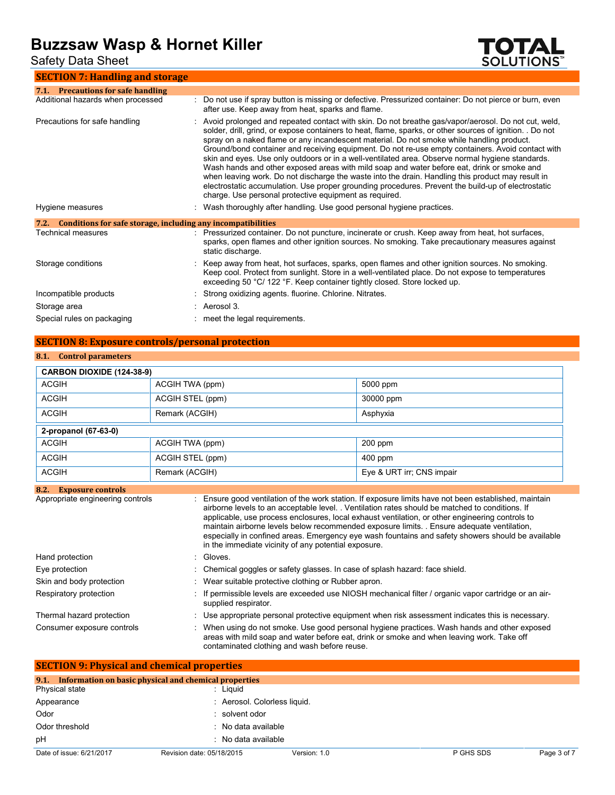Safety Data Sheet

### **SECTION 7: Handling and storage**



| 7.1. Precautions for safe handling                                   |                                                                                                                                                                                                                                                                                                                                                                                                                                                                                                                                                                                                                                                                                                                                                                                                                                                                                           |
|----------------------------------------------------------------------|-------------------------------------------------------------------------------------------------------------------------------------------------------------------------------------------------------------------------------------------------------------------------------------------------------------------------------------------------------------------------------------------------------------------------------------------------------------------------------------------------------------------------------------------------------------------------------------------------------------------------------------------------------------------------------------------------------------------------------------------------------------------------------------------------------------------------------------------------------------------------------------------|
| Additional hazards when processed                                    | Do not use if spray button is missing or defective. Pressurized container: Do not pierce or burn, even<br>after use. Keep away from heat, sparks and flame.                                                                                                                                                                                                                                                                                                                                                                                                                                                                                                                                                                                                                                                                                                                               |
| Precautions for safe handling                                        | Avoid prolonged and repeated contact with skin. Do not breathe gas/vapor/aerosol. Do not cut, weld,<br>solder, drill, grind, or expose containers to heat, flame, sparks, or other sources of ignition. . Do not<br>spray on a naked flame or any incandescent material. Do not smoke while handling product.<br>Ground/bond container and receiving equipment. Do not re-use empty containers. Avoid contact with<br>skin and eyes. Use only outdoors or in a well-ventilated area. Observe normal hygiene standards.<br>Wash hands and other exposed areas with mild soap and water before eat, drink or smoke and<br>when leaving work. Do not discharge the waste into the drain. Handling this product may result in<br>electrostatic accumulation. Use proper grounding procedures. Prevent the build-up of electrostatic<br>charge. Use personal protective equipment as required. |
| Hygiene measures                                                     | : Wash thoroughly after handling. Use good personal hygiene practices.                                                                                                                                                                                                                                                                                                                                                                                                                                                                                                                                                                                                                                                                                                                                                                                                                    |
| Conditions for safe storage, including any incompatibilities<br>7.2. |                                                                                                                                                                                                                                                                                                                                                                                                                                                                                                                                                                                                                                                                                                                                                                                                                                                                                           |
| Technical measures                                                   | Pressurized container. Do not puncture, incinerate or crush. Keep away from heat, hot surfaces,<br>sparks, open flames and other ignition sources. No smoking. Take precautionary measures against<br>static discharge.                                                                                                                                                                                                                                                                                                                                                                                                                                                                                                                                                                                                                                                                   |
| Storage conditions                                                   | Keep away from heat, hot surfaces, sparks, open flames and other ignition sources. No smoking.<br>Keep cool. Protect from sunlight. Store in a well-ventilated place. Do not expose to temperatures<br>exceeding 50 °C/ 122 °F. Keep container tightly closed. Store locked up.                                                                                                                                                                                                                                                                                                                                                                                                                                                                                                                                                                                                           |
| Incompatible products                                                | Strong oxidizing agents. fluorine. Chlorine. Nitrates.                                                                                                                                                                                                                                                                                                                                                                                                                                                                                                                                                                                                                                                                                                                                                                                                                                    |
| Storage area                                                         | : Aerosol 3.                                                                                                                                                                                                                                                                                                                                                                                                                                                                                                                                                                                                                                                                                                                                                                                                                                                                              |
| Special rules on packaging                                           | : meet the legal requirements.                                                                                                                                                                                                                                                                                                                                                                                                                                                                                                                                                                                                                                                                                                                                                                                                                                                            |

### **SECTION 8: Exposure controls/personal protection**

### **8.1. Control parameters**

| CARBON DIOXIDE (124-38-9)        |                                                                                                                                                                                                                                                                                                                                                                                                                                                                                                                                                                    |                                                                                                     |  |
|----------------------------------|--------------------------------------------------------------------------------------------------------------------------------------------------------------------------------------------------------------------------------------------------------------------------------------------------------------------------------------------------------------------------------------------------------------------------------------------------------------------------------------------------------------------------------------------------------------------|-----------------------------------------------------------------------------------------------------|--|
| <b>ACGIH</b>                     | ACGIH TWA (ppm)                                                                                                                                                                                                                                                                                                                                                                                                                                                                                                                                                    | 5000 ppm                                                                                            |  |
| <b>ACGIH</b>                     | ACGIH STEL (ppm)                                                                                                                                                                                                                                                                                                                                                                                                                                                                                                                                                   | 30000 ppm                                                                                           |  |
| <b>ACGIH</b>                     | Remark (ACGIH)                                                                                                                                                                                                                                                                                                                                                                                                                                                                                                                                                     | Asphyxia                                                                                            |  |
| 2-propanol (67-63-0)             |                                                                                                                                                                                                                                                                                                                                                                                                                                                                                                                                                                    |                                                                                                     |  |
| <b>ACGIH</b>                     | ACGIH TWA (ppm)                                                                                                                                                                                                                                                                                                                                                                                                                                                                                                                                                    | $200$ ppm                                                                                           |  |
| <b>ACGIH</b>                     | ACGIH STEL (ppm)                                                                                                                                                                                                                                                                                                                                                                                                                                                                                                                                                   | $400$ ppm                                                                                           |  |
| <b>ACGIH</b>                     | Remark (ACGIH)                                                                                                                                                                                                                                                                                                                                                                                                                                                                                                                                                     | Eye & URT irr; CNS impair                                                                           |  |
| <b>Exposure controls</b><br>8.2. |                                                                                                                                                                                                                                                                                                                                                                                                                                                                                                                                                                    |                                                                                                     |  |
| Appropriate engineering controls | Ensure good ventilation of the work station. If exposure limits have not been established, maintain<br>airborne levels to an acceptable level. . Ventilation rates should be matched to conditions. If<br>applicable, use process enclosures, local exhaust ventilation, or other engineering controls to<br>maintain airborne levels below recommended exposure limits. Ensure adequate ventilation,<br>especially in confined areas. Emergency eye wash fountains and safety showers should be available<br>in the immediate vicinity of any potential exposure. |                                                                                                     |  |
| Hand protection                  | Gloves.                                                                                                                                                                                                                                                                                                                                                                                                                                                                                                                                                            |                                                                                                     |  |
| Eye protection                   |                                                                                                                                                                                                                                                                                                                                                                                                                                                                                                                                                                    | Chemical goggles or safety glasses. In case of splash hazard: face shield.                          |  |
| Skin and body protection         | Wear suitable protective clothing or Rubber apron.                                                                                                                                                                                                                                                                                                                                                                                                                                                                                                                 |                                                                                                     |  |
| Respiratory protection           |                                                                                                                                                                                                                                                                                                                                                                                                                                                                                                                                                                    | If permissible levels are exceeded use NIOSH mechanical filter / organic vapor cartridge or an air- |  |

|                           | supplied respirator.                                                                            |
|---------------------------|-------------------------------------------------------------------------------------------------|
| Thermal hazard protection | Use appropriate personal protective equipment when risk assessment indicates this is necessary. |
|                           |                                                                                                 |

| Consumer exposure controls | When using do not smoke. Use good personal hygiene practices. Wash hands and other exposed |
|----------------------------|--------------------------------------------------------------------------------------------|
|                            | areas with mild soap and water before eat, drink or smoke and when leaving work. Take off  |
|                            | contaminated clothing and wash before reuse.                                               |
|                            |                                                                                            |

| <b>SECTION 9: Physical and chemical properties</b> |                                                            |              |           |             |  |  |  |
|----------------------------------------------------|------------------------------------------------------------|--------------|-----------|-------------|--|--|--|
|                                                    | 9.1. Information on basic physical and chemical properties |              |           |             |  |  |  |
| Physical state                                     | : Liguid                                                   |              |           |             |  |  |  |
| Appearance                                         | : Aerosol. Colorless liquid.                               |              |           |             |  |  |  |
| Odor                                               | : solvent odor                                             |              |           |             |  |  |  |
| Odor threshold                                     | : No data available                                        |              |           |             |  |  |  |
| pH                                                 | : No data available                                        |              |           |             |  |  |  |
| Date of issue: 6/21/2017                           | Revision date: 05/18/2015                                  | Version: 1.0 | P GHS SDS | Page 3 of 7 |  |  |  |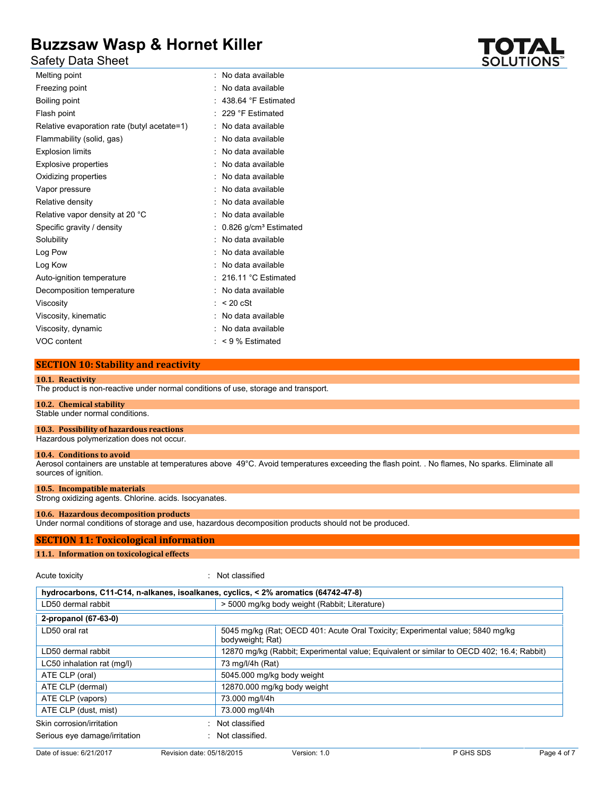Safety Data Sheet

| Melting point                               | No data available                 |
|---------------------------------------------|-----------------------------------|
| Freezing point                              | No data available                 |
| Boiling point                               | 438.64 °F Estimated               |
| Flash point                                 | 229 °F Estimated                  |
| Relative evaporation rate (butyl acetate=1) | No data available                 |
| Flammability (solid, gas)                   | No data available                 |
| <b>Explosion limits</b>                     | No data available                 |
| <b>Explosive properties</b>                 | No data available                 |
| Oxidizing properties                        | No data available                 |
| Vapor pressure                              | No data available                 |
| Relative density                            | No data available                 |
| Relative vapor density at 20 °C             | No data available                 |
| Specific gravity / density                  | 0.826 g/cm <sup>3</sup> Estimated |
| Solubility                                  | No data available                 |
| Log Pow                                     | No data available                 |
| Log Kow                                     | No data available                 |
| Auto-ignition temperature                   | 216.11 °C Estimated               |
| Decomposition temperature                   | No data available                 |
| Viscosity                                   | $< 20$ cSt                        |
| Viscosity, kinematic                        | No data available                 |
| Viscosity, dynamic                          | No data available                 |
| VOC content                                 | $< 9$ % Estimated                 |

### **SECTION 10: Stability and reactivity**

#### **10.1. Reactivity**

The product is non-reactive under normal conditions of use, storage and transport.

#### **10.2. Chemical stability**

Stable under normal conditions.

**10.3. Possibility of hazardous reactions**

Hazardous polymerization does not occur.

#### **10.4. Conditions to avoid**

Aerosol containers are unstable at temperatures above 49°C. Avoid temperatures exceeding the flash point. . No flames, No sparks. Eliminate all sources of ignition.

#### **10.5. Incompatible materials**

Strong oxidizing agents. Chlorine. acids. Isocyanates.

#### **10.6. Hazardous decomposition products**

Under normal conditions of storage and use, hazardous decomposition products should not be produced.

#### **SECTION 11: Toxicological information**

#### **11.1. Information on toxicological effects**

Acute toxicity in the contract of the classified in the classified in the classified in the classified in the classified in the classified in the classified in the classified in the classified in the classified in the clas

| hydrocarbons, C11-C14, n-alkanes, isoalkanes, cyclics, < 2% aromatics (64742-47-8) |                                                                                                    |  |
|------------------------------------------------------------------------------------|----------------------------------------------------------------------------------------------------|--|
| LD50 dermal rabbit                                                                 | > 5000 mg/kg body weight (Rabbit: Literature)                                                      |  |
| 2-propanol (67-63-0)                                                               |                                                                                                    |  |
| LD50 oral rat                                                                      | 5045 mg/kg (Rat; OECD 401: Acute Oral Toxicity; Experimental value; 5840 mg/kg<br>bodyweight; Rat) |  |
| LD50 dermal rabbit                                                                 | 12870 mg/kg (Rabbit; Experimental value; Equivalent or similar to OECD 402; 16.4; Rabbit)          |  |
| LC50 inhalation rat (mg/l)                                                         | 73 mg/l/4h (Rat)                                                                                   |  |
| ATE CLP (oral)                                                                     | 5045.000 mg/kg body weight                                                                         |  |
| ATE CLP (dermal)                                                                   | 12870.000 mg/kg body weight                                                                        |  |
| ATE CLP (vapors)                                                                   | 73.000 mg/l/4h                                                                                     |  |
| ATE CLP (dust, mist)                                                               | 73.000 mg/l/4h                                                                                     |  |
| Skin corrosion/irritation                                                          | Not classified                                                                                     |  |
| Serious eye damage/irritation                                                      | Not classified.                                                                                    |  |

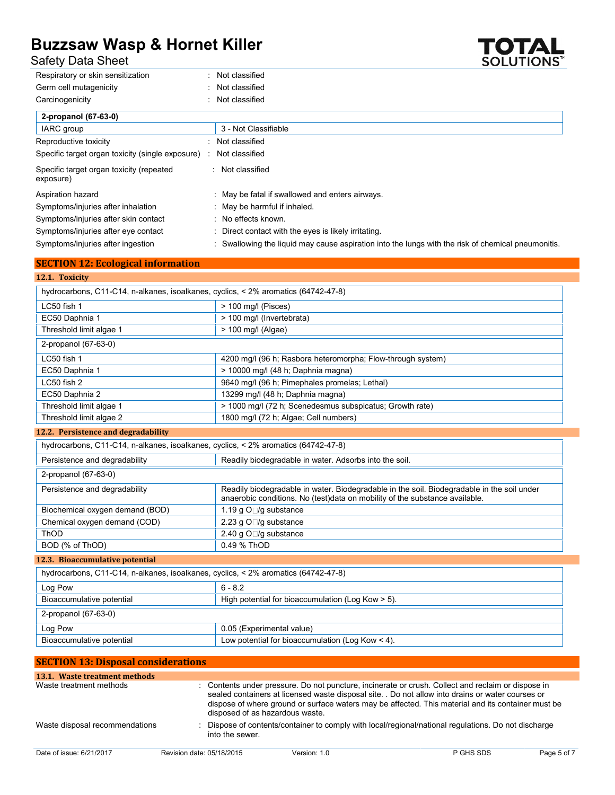**SECTION 12: Ecological information**

Safety Data Sheet

| Respiratory or skin sensitization                     | Not classified                                                                                   |
|-------------------------------------------------------|--------------------------------------------------------------------------------------------------|
| Germ cell mutagenicity                                | : Not classified                                                                                 |
| Carcinogenicity                                       | : Not classified                                                                                 |
| 2-propanol (67-63-0)                                  |                                                                                                  |
| IARC group                                            | 3 - Not Classifiable                                                                             |
| Reproductive toxicity                                 | : Not classified                                                                                 |
| Specific target organ toxicity (single exposure)      | Not classified                                                                                   |
| Specific target organ toxicity (repeated<br>exposure) | Not classified                                                                                   |
| Aspiration hazard                                     | May be fatal if swallowed and enters airways.                                                    |
| Symptoms/injuries after inhalation                    | May be harmful if inhaled.                                                                       |
| Symptoms/injuries after skin contact                  | : No effects known.                                                                              |
| Symptoms/injuries after eye contact                   | Direct contact with the eyes is likely irritating.                                               |
| Symptoms/injuries after ingestion                     | Swallowing the liguid may cause aspiration into the lungs with the risk of chemical pneumonitis. |

| 12.1. Toxicity                                                                     |                                                                                                                                                                            |
|------------------------------------------------------------------------------------|----------------------------------------------------------------------------------------------------------------------------------------------------------------------------|
| hydrocarbons, C11-C14, n-alkanes, isoalkanes, cyclics, < 2% aromatics (64742-47-8) |                                                                                                                                                                            |
| LC50 fish 1                                                                        | $>$ 100 mg/l (Pisces)                                                                                                                                                      |
| EC50 Daphnia 1                                                                     | > 100 mg/l (Invertebrata)                                                                                                                                                  |
| Threshold limit algae 1                                                            | > 100 mg/l (Algae)                                                                                                                                                         |
| 2-propanol (67-63-0)                                                               |                                                                                                                                                                            |
| LC50 fish 1                                                                        | 4200 mg/l (96 h; Rasbora heteromorpha; Flow-through system)                                                                                                                |
| EC50 Daphnia 1                                                                     | > 10000 mg/l (48 h; Daphnia magna)                                                                                                                                         |
| LC50 fish 2                                                                        | 9640 mg/l (96 h; Pimephales promelas; Lethal)                                                                                                                              |
| EC50 Daphnia 2                                                                     | 13299 mg/l (48 h; Daphnia magna)                                                                                                                                           |
| Threshold limit algae 1                                                            | > 1000 mg/l (72 h; Scenedesmus subspicatus; Growth rate)                                                                                                                   |
| Threshold limit algae 2                                                            | 1800 mg/l (72 h; Algae; Cell numbers)                                                                                                                                      |
| 12.2. Persistence and degradability                                                |                                                                                                                                                                            |
| hydrocarbons, C11-C14, n-alkanes, isoalkanes, cyclics, < 2% aromatics (64742-47-8) |                                                                                                                                                                            |
| Persistence and degradability                                                      | Readily biodegradable in water. Adsorbs into the soil.                                                                                                                     |
| 2-propanol (67-63-0)                                                               |                                                                                                                                                                            |
| Persistence and degradability                                                      | Readily biodegradable in water. Biodegradable in the soil. Biodegradable in the soil under<br>anaerobic conditions. No (test) data on mobility of the substance available. |
| Biochemical oxygen demand (BOD)                                                    | 1.19 g O□/g substance                                                                                                                                                      |
| Chemical oxygen demand (COD)                                                       | 2.23 g O□/g substance                                                                                                                                                      |
| ThOD                                                                               | 2.40 g O□/g substance                                                                                                                                                      |
| BOD (% of ThOD)                                                                    | 0.49 % ThOD                                                                                                                                                                |

### **12.3. Bioaccumulative potential**

| hydrocarbons, C11-C14, n-alkanes, isoalkanes, cyclics, < 2% aromatics (64742-47-8) |                                                       |  |
|------------------------------------------------------------------------------------|-------------------------------------------------------|--|
| Log Pow                                                                            | $6 - 82$                                              |  |
| Bioaccumulative potential                                                          | High potential for bioaccumulation (Log Kow $>$ 5).   |  |
| 2-propanol (67-63-0)                                                               |                                                       |  |
| Log Pow                                                                            | 0.05 (Experimental value)                             |  |
| Bioaccumulative potential                                                          | Low potential for bioaccumulation (Log Kow $\leq$ 4). |  |

| <b>SECTION 13: Disposal considerations</b> |                           |                                 |                                                                                                                                                                                                                                                                                                               |             |
|--------------------------------------------|---------------------------|---------------------------------|---------------------------------------------------------------------------------------------------------------------------------------------------------------------------------------------------------------------------------------------------------------------------------------------------------------|-------------|
| 13.1. Waste treatment methods              |                           |                                 |                                                                                                                                                                                                                                                                                                               |             |
| Waste treatment methods                    |                           | disposed of as hazardous waste. | : Contents under pressure. Do not puncture, incinerate or crush. Collect and reclaim or dispose in<br>sealed containers at licensed waste disposal site. . Do not allow into drains or water courses or<br>dispose of where ground or surface waters may be affected. This material and its container must be |             |
| Waste disposal recommendations             | into the sewer.           |                                 | Dispose of contents/container to comply with local/regional/national regulations. Do not discharge                                                                                                                                                                                                            |             |
| Date of issue: 6/21/2017                   | Revision date: 05/18/2015 | Version: 1.0                    | P GHS SDS                                                                                                                                                                                                                                                                                                     | Page 5 of 7 |

**TOTAL**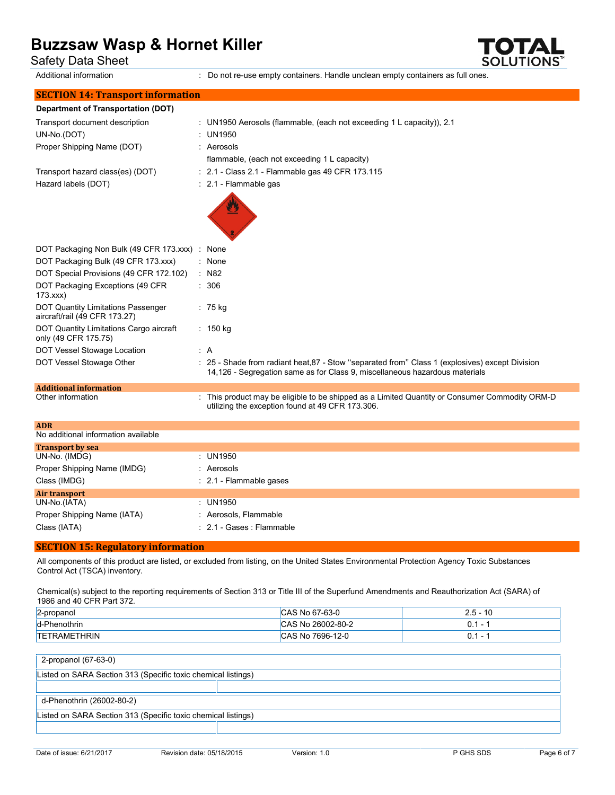Safety Data Sheet

Additional information : Do not re-use empty containers. Handle unclean empty containers as full ones.

**SOLUTIONS** 

| <b>SECTION 14: Transport information</b>                                                                                         |     |                                                                                                                                                                                |
|----------------------------------------------------------------------------------------------------------------------------------|-----|--------------------------------------------------------------------------------------------------------------------------------------------------------------------------------|
| <b>Department of Transportation (DOT)</b>                                                                                        |     |                                                                                                                                                                                |
| Transport document description<br>UN-No.(DOT)<br>Proper Shipping Name (DOT)                                                      |     | : UN1950 Aerosols (flammable, (each not exceeding 1 L capacity)), 2.1<br><b>UN1950</b><br>: Aerosols<br>flammable, (each not exceeding 1 L capacity)                           |
| Transport hazard class(es) (DOT)<br>Hazard labels (DOT)                                                                          |     | : 2.1 - Class 2.1 - Flammable gas 49 CFR 173.115<br>: 2.1 - Flammable gas                                                                                                      |
| DOT Packaging Non Bulk (49 CFR 173.xxx) : None<br>DOT Packaging Bulk (49 CFR 173.xxx)<br>DOT Special Provisions (49 CFR 172.102) |     | : None<br>$:$ N82                                                                                                                                                              |
| DOT Packaging Exceptions (49 CFR<br>173.xxx                                                                                      |     | : 306                                                                                                                                                                          |
| DOT Quantity Limitations Passenger<br>aircraft/rail (49 CFR 173.27)                                                              |     | $: 75$ kg                                                                                                                                                                      |
| DOT Quantity Limitations Cargo aircraft<br>only (49 CFR 175.75)                                                                  |     | : 150 kg                                                                                                                                                                       |
| DOT Vessel Stowage Location                                                                                                      | : A |                                                                                                                                                                                |
| DOT Vessel Stowage Other                                                                                                         |     | : 25 - Shade from radiant heat, 87 - Stow "separated from" Class 1 (explosives) except Division<br>14,126 - Segregation same as for Class 9, miscellaneous hazardous materials |
| <b>Additional information</b>                                                                                                    |     |                                                                                                                                                                                |
| Other information                                                                                                                |     | : This product may be eligible to be shipped as a Limited Quantity or Consumer Commodity ORM-D<br>utilizing the exception found at 49 CFR 173.306.                             |
| <b>ADR</b>                                                                                                                       |     |                                                                                                                                                                                |
| No additional information available                                                                                              |     |                                                                                                                                                                                |
| <b>Transport by sea</b><br>UN-No. (IMDG)                                                                                         |     | : UN1950                                                                                                                                                                       |
|                                                                                                                                  |     | : Aerosols                                                                                                                                                                     |
| Proper Shipping Name (IMDG)                                                                                                      |     |                                                                                                                                                                                |
| Class (IMDG)                                                                                                                     |     | : 2.1 - Flammable gases                                                                                                                                                        |
| <b>Air transport</b><br>UN-No.(IATA)                                                                                             |     | : UN1950                                                                                                                                                                       |
| Proper Shipping Name (IATA)                                                                                                      |     | : Aerosols, Flammable                                                                                                                                                          |
| Class (IATA)                                                                                                                     |     | : 2.1 - Gases : Flammable                                                                                                                                                      |
|                                                                                                                                  |     |                                                                                                                                                                                |

### **SECTION 15: Regulatory information**

All components of this product are listed, or excluded from listing, on the United States Environmental Protection Agency Toxic Substances Control Act (TSCA) inventory.

Chemical(s) subject to the reporting requirements of Section 313 or Title III of the Superfund Amendments and Reauthorization Act (SARA) of 1986 and 40 CFR Part 372.

| 2-propanol          | CAS No 67-63-0    | 10<br>∠.5 − 1            |
|---------------------|-------------------|--------------------------|
| d-Phenothrin        | CAS No 26002-80-2 | $\overline{\phantom{a}}$ |
| <b>TETRAMETHRIN</b> | CAS No 7696-12-0  |                          |

### 2-propanol (67-63-0)

| .                                                             |  |  |
|---------------------------------------------------------------|--|--|
| Listed on SARA Section 313 (Specific toxic chemical listings) |  |  |
|                                                               |  |  |
| d-Phenothrin (26002-80-2)                                     |  |  |
| Listed on SARA Section 313 (Specific toxic chemical listings) |  |  |
|                                                               |  |  |